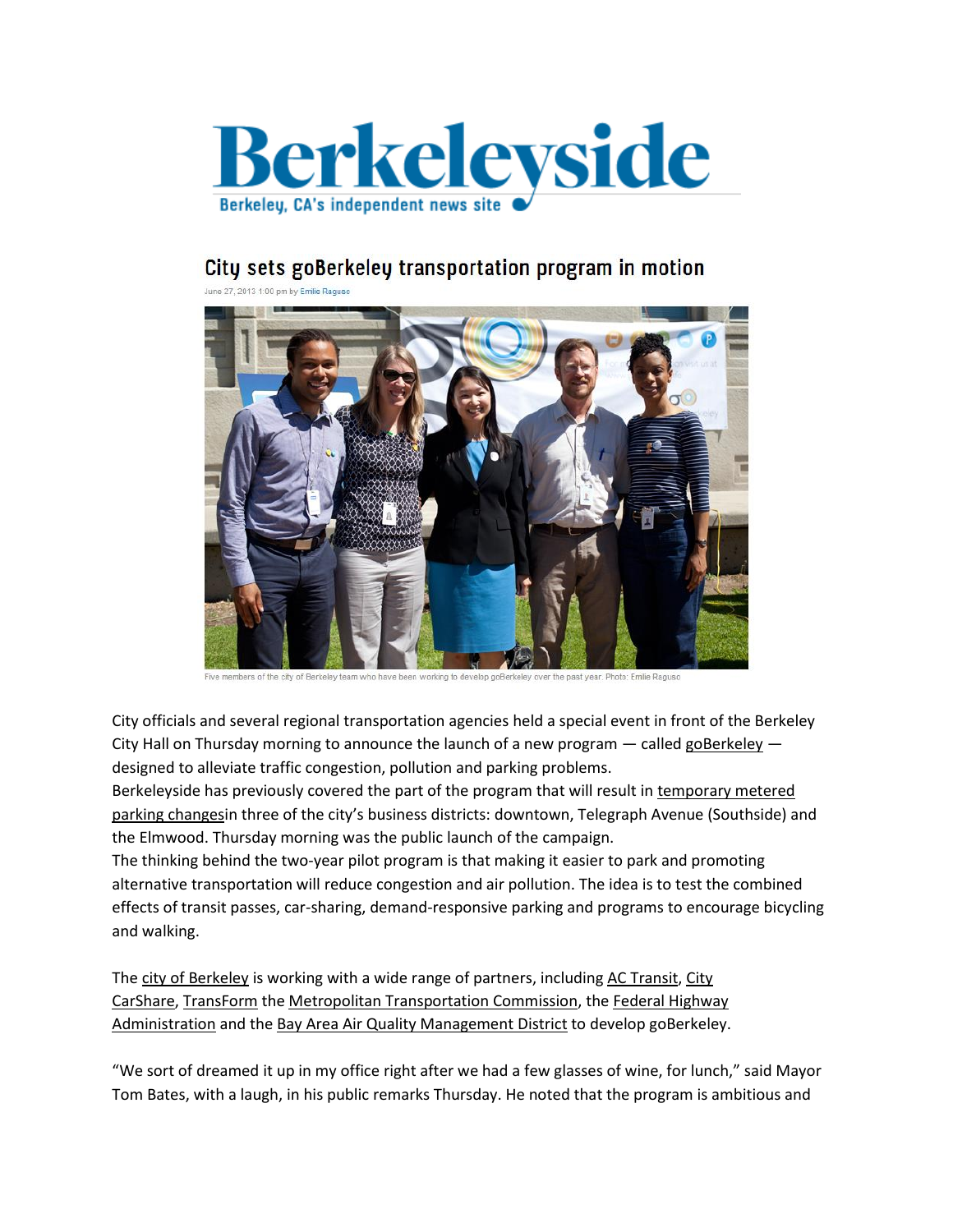

## City sets goBerkeley transportation program in motion

00 pm by Emilie Raguso



City officials and several regional transportation agencies held a special event in front of the Berkeley City Hall on Thursday morning to announce the launch of a new program  $-$  called [goBerkeley](http://www.goberkeley.info/index.php)  $$ designed to alleviate traffic congestion, pollution and parking problems.

Berkeleyside has previously covered the part of the program that will result in [temporary](http://www.berkeleyside.com/tag/parking-in-berkeley/) metered parking [changes](http://www.berkeleyside.com/tag/parking-in-berkeley/)in three of the city's business districts: downtown, Telegraph Avenue (Southside) and the Elmwood. Thursday morning was the public launch of the campaign.

The thinking behind the two-year pilot program is that making it easier to park and promoting alternative transportation will reduce congestion and air pollution. The idea is to test the combined effects of transit passes, car-sharing, demand-responsive parking and programs to encourage bicycling and walking.

The city of [Berkeley](http://www.ci.berkeley.ca.us/) is working with a wide range of partners, including AC [Transit,](http://www.actransit.org/) [City](http://www.citycarshare.org/) [CarShare,](http://www.citycarshare.org/) [TransForm](http://www.transformca.org/) the Metropolitan [Transportation](http://www.mtc.ca.gov/) Commission, the Federal [Highway](http://www.ops.fhwa.dot.gov/tolling_pricing/value_pricing/) [Administration](http://www.ops.fhwa.dot.gov/tolling_pricing/value_pricing/) and the Bay Area Air Quality [Management](http://www.baaqmd.gov/) District to develop goBerkele[y.](http://www.baaqmd.gov/)

"We sort of dreamed it up in my office right after we had a few glasses of wine, for lunch," said Mayor Tom Bates, with a laugh, in his public remarks Thursday. He noted that the program is ambitious and